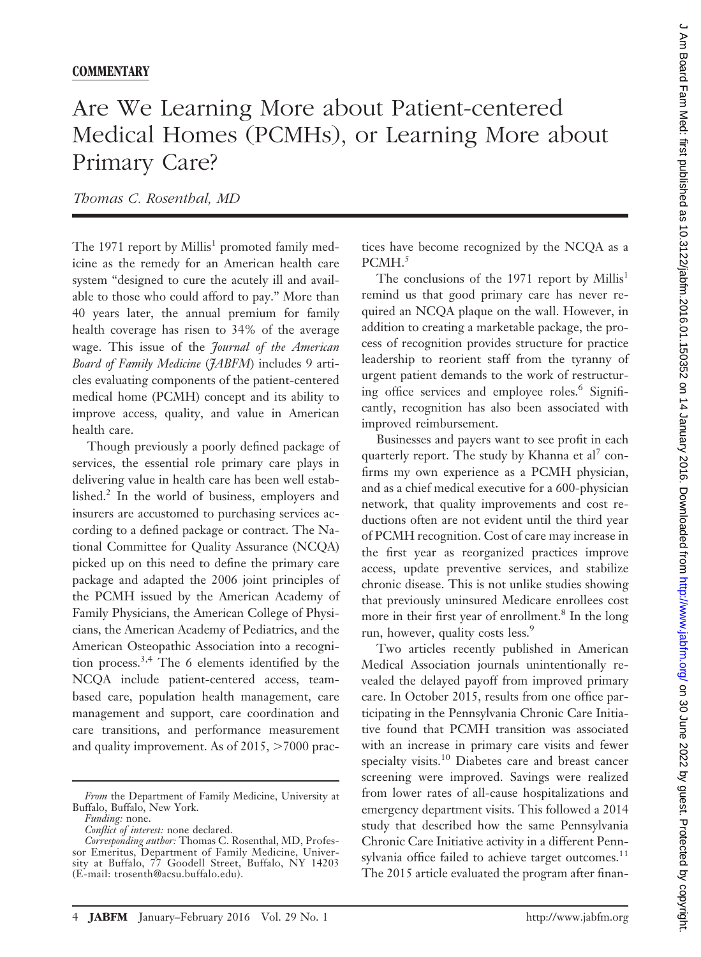## Are We Learning More about Patient-centered Medical Homes (PCMHs), or Learning More about Primary Care?

*Thomas C. Rosenthal, MD*

The 1971 report by Millis<sup>1</sup> promoted family medicine as the remedy for an American health care system "designed to cure the acutely ill and available to those who could afford to pay." More than 40 years later, the annual premium for family health coverage has risen to 34% of the average wage. This issue of the *Journal of the American Board of Family Medicine* (*JABFM*) includes 9 articles evaluating components of the patient-centered medical home (PCMH) concept and its ability to improve access, quality, and value in American health care.

Though previously a poorly defined package of services, the essential role primary care plays in delivering value in health care has been well established.<sup>2</sup> In the world of business, employers and insurers are accustomed to purchasing services according to a defined package or contract. The National Committee for Quality Assurance (NCQA) picked up on this need to define the primary care package and adapted the 2006 joint principles of the PCMH issued by the American Academy of Family Physicians, the American College of Physicians, the American Academy of Pediatrics, and the American Osteopathic Association into a recognition process.3,4 The 6 elements identified by the NCQA include patient-centered access, teambased care, population health management, care management and support, care coordination and care transitions, and performance measurement and quality improvement. As of 2015,  $>7000$  practices have become recognized by the NCQA as a PCMH.<sup>5</sup>

The conclusions of the 1971 report by Millis<sup>1</sup> remind us that good primary care has never required an NCQA plaque on the wall. However, in addition to creating a marketable package, the process of recognition provides structure for practice leadership to reorient staff from the tyranny of urgent patient demands to the work of restructuring office services and employee roles.<sup>6</sup> Significantly, recognition has also been associated with improved reimbursement.

Businesses and payers want to see profit in each quarterly report. The study by Khanna et al<sup>7</sup> confirms my own experience as a PCMH physician, and as a chief medical executive for a 600-physician network, that quality improvements and cost reductions often are not evident until the third year of PCMH recognition. Cost of care may increase in the first year as reorganized practices improve access, update preventive services, and stabilize chronic disease. This is not unlike studies showing that previously uninsured Medicare enrollees cost more in their first year of enrollment.<sup>8</sup> In the long run, however, quality costs less.<sup>9</sup>

Two articles recently published in American Medical Association journals unintentionally revealed the delayed payoff from improved primary care. In October 2015, results from one office participating in the Pennsylvania Chronic Care Initiative found that PCMH transition was associated with an increase in primary care visits and fewer specialty visits.<sup>10</sup> Diabetes care and breast cancer screening were improved. Savings were realized from lower rates of all-cause hospitalizations and emergency department visits. This followed a 2014 study that described how the same Pennsylvania Chronic Care Initiative activity in a different Pennsylvania office failed to achieve target outcomes.<sup>11</sup> The 2015 article evaluated the program after finan-

*From* the Department of Family Medicine, University at Buffalo, Buffalo, New York.

*Funding:* none.

*Conflict of interest:* none declared.

*Corresponding author:* Thomas C. Rosenthal, MD, Professor Emeritus, Department of Family Medicine, University at Buffalo, 77 Goodell Street, Buffalo, NY 14203 E-mail: [trosenth@acsu.buffalo.edu](mailto:trosenth@acsu.buffalo.edu).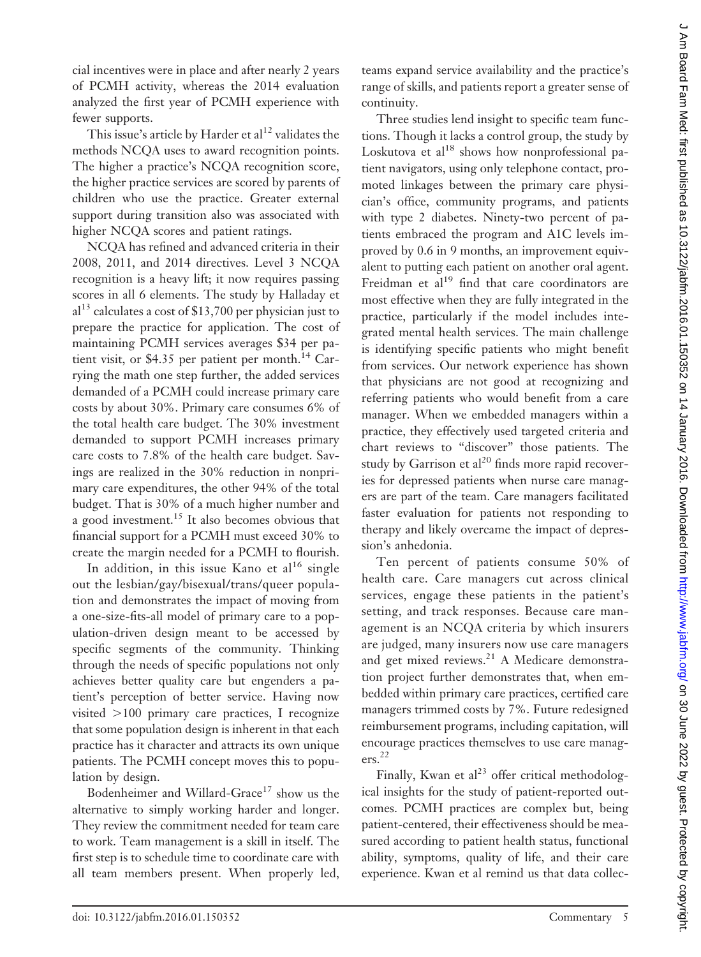cial incentives were in place and after nearly 2 years of PCMH activity, whereas the 2014 evaluation analyzed the first year of PCMH experience with fewer supports.

This issue's article by Harder et  $al^{12}$  validates the methods NCQA uses to award recognition points. The higher a practice's NCQA recognition score, the higher practice services are scored by parents of children who use the practice. Greater external support during transition also was associated with higher NCQA scores and patient ratings.

NCQA has refined and advanced criteria in their 2008, 2011, and 2014 directives. Level 3 NCQA recognition is a heavy lift; it now requires passing scores in all 6 elements. The study by Halladay et  $al<sup>13</sup>$  calculates a cost of \$13,700 per physician just to prepare the practice for application. The cost of maintaining PCMH services averages \$34 per patient visit, or \$4.35 per patient per month. $^{14}$  Carrying the math one step further, the added services demanded of a PCMH could increase primary care costs by about 30%. Primary care consumes 6% of the total health care budget. The 30% investment demanded to support PCMH increases primary care costs to 7.8% of the health care budget. Savings are realized in the 30% reduction in nonprimary care expenditures, the other 94% of the total budget. That is 30% of a much higher number and a good investment.<sup>15</sup> It also becomes obvious that financial support for a PCMH must exceed 30% to create the margin needed for a PCMH to flourish.

In addition, in this issue Kano et  $al^{16}$  single out the lesbian/gay/bisexual/trans/queer population and demonstrates the impact of moving from a one-size-fits-all model of primary care to a population-driven design meant to be accessed by specific segments of the community. Thinking through the needs of specific populations not only achieves better quality care but engenders a patient's perception of better service. Having now visited -100 primary care practices, I recognize that some population design is inherent in that each practice has it character and attracts its own unique patients. The PCMH concept moves this to population by design.

Bodenheimer and Willard-Grace<sup>17</sup> show us the alternative to simply working harder and longer. They review the commitment needed for team care to work. Team management is a skill in itself. The first step is to schedule time to coordinate care with all team members present. When properly led,

teams expand service availability and the practice's range of skills, and patients report a greater sense of continuity.

Three studies lend insight to specific team functions. Though it lacks a control group, the study by Loskutova et  $al^{18}$  shows how nonprofessional patient navigators, using only telephone contact, promoted linkages between the primary care physician's office, community programs, and patients with type 2 diabetes. Ninety-two percent of patients embraced the program and A1C levels improved by 0.6 in 9 months, an improvement equivalent to putting each patient on another oral agent. Freidman et  $al^{19}$  find that care coordinators are most effective when they are fully integrated in the practice, particularly if the model includes integrated mental health services. The main challenge is identifying specific patients who might benefit from services. Our network experience has shown that physicians are not good at recognizing and referring patients who would benefit from a care manager. When we embedded managers within a practice, they effectively used targeted criteria and chart reviews to "discover" those patients. The study by Garrison et  $al^{20}$  finds more rapid recoveries for depressed patients when nurse care managers are part of the team. Care managers facilitated faster evaluation for patients not responding to therapy and likely overcame the impact of depression's anhedonia.

Ten percent of patients consume 50% of health care. Care managers cut across clinical services, engage these patients in the patient's setting, and track responses. Because care management is an NCQA criteria by which insurers are judged, many insurers now use care managers and get mixed reviews.<sup>21</sup> A Medicare demonstration project further demonstrates that, when embedded within primary care practices, certified care managers trimmed costs by 7%. Future redesigned reimbursement programs, including capitation, will encourage practices themselves to use care managers.22

Finally, Kwan et al<sup>23</sup> offer critical methodological insights for the study of patient-reported outcomes. PCMH practices are complex but, being patient-centered, their effectiveness should be measured according to patient health status, functional ability, symptoms, quality of life, and their care experience. Kwan et al remind us that data collec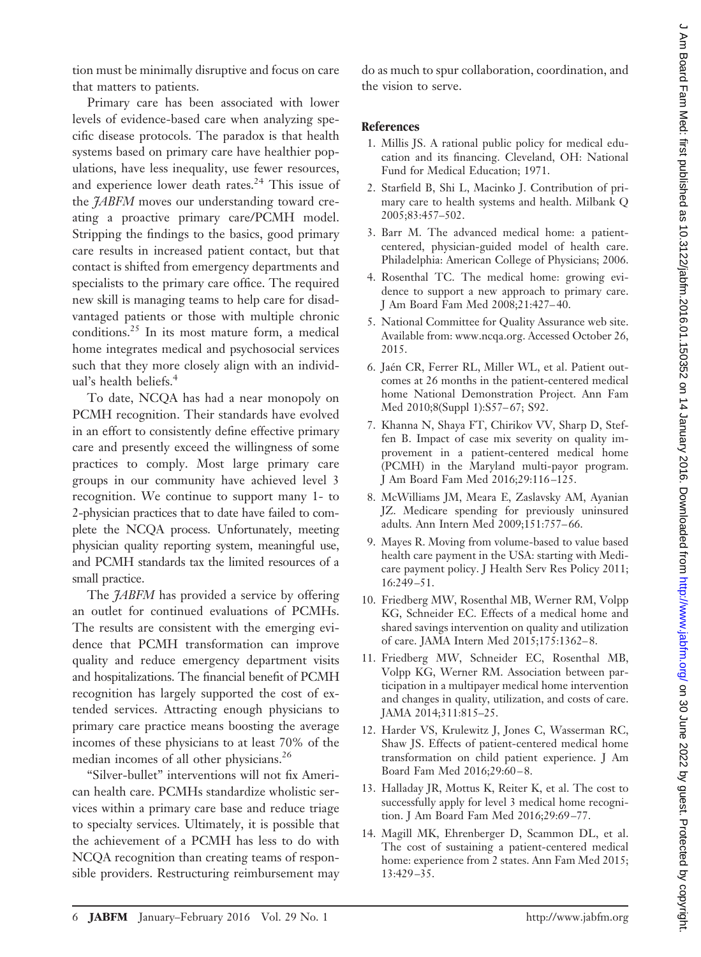tion must be minimally disruptive and focus on care that matters to patients.

Primary care has been associated with lower levels of evidence-based care when analyzing specific disease protocols. The paradox is that health systems based on primary care have healthier populations, have less inequality, use fewer resources, and experience lower death rates.<sup>24</sup> This issue of the *JABFM* moves our understanding toward creating a proactive primary care/PCMH model. Stripping the findings to the basics, good primary care results in increased patient contact, but that contact is shifted from emergency departments and specialists to the primary care office. The required new skill is managing teams to help care for disadvantaged patients or those with multiple chronic conditions.25 In its most mature form, a medical home integrates medical and psychosocial services such that they more closely align with an individual's health beliefs.<sup>4</sup>

To date, NCQA has had a near monopoly on PCMH recognition. Their standards have evolved in an effort to consistently define effective primary care and presently exceed the willingness of some practices to comply. Most large primary care groups in our community have achieved level 3 recognition. We continue to support many 1- to 2-physician practices that to date have failed to complete the NCQA process. Unfortunately, meeting physician quality reporting system, meaningful use, and PCMH standards tax the limited resources of a small practice.

The *JABFM* has provided a service by offering an outlet for continued evaluations of PCMHs. The results are consistent with the emerging evidence that PCMH transformation can improve quality and reduce emergency department visits and hospitalizations. The financial benefit of PCMH recognition has largely supported the cost of extended services. Attracting enough physicians to primary care practice means boosting the average incomes of these physicians to at least 70% of the median incomes of all other physicians.<sup>26</sup>

"Silver-bullet" interventions will not fix American health care. PCMHs standardize wholistic services within a primary care base and reduce triage to specialty services. Ultimately, it is possible that the achievement of a PCMH has less to do with NCQA recognition than creating teams of responsible providers. Restructuring reimbursement may

do as much to spur collaboration, coordination, and the vision to serve.

## **References**

- 1. Millis JS. A rational public policy for medical education and its financing. Cleveland, OH: National Fund for Medical Education; 1971.
- 2. Starfield B, Shi L, Macinko J. Contribution of primary care to health systems and health. Milbank Q 2005;83:457–502.
- 3. Barr M. The advanced medical home: a patientcentered, physician-guided model of health care. Philadelphia: American College of Physicians; 2006.
- 4. Rosenthal TC. The medical home: growing evidence to support a new approach to primary care. J Am Board Fam Med 2008;21:427–40.
- 5. National Committee for Quality Assurance web site. Available from: [www.ncqa.org.](www.ncqa.org) Accessed October 26, 2015.
- 6. Jaén CR, Ferrer RL, Miller WL, et al. Patient outcomes at 26 months in the patient-centered medical home National Demonstration Project. Ann Fam Med 2010;8(Suppl 1):S57–67; S92.
- 7. Khanna N, Shaya FT, Chirikov VV, Sharp D, Steffen B. Impact of case mix severity on quality improvement in a patient-centered medical home (PCMH) in the Maryland multi-payor program. J Am Board Fam Med 2016;29:116–125.
- 8. McWilliams JM, Meara E, Zaslavsky AM, Ayanian JZ. Medicare spending for previously uninsured adults. Ann Intern Med 2009;151:757–66.
- 9. Mayes R. Moving from volume-based to value based health care payment in the USA: starting with Medicare payment policy. J Health Serv Res Policy 2011; 16:249–51.
- 10. Friedberg MW, Rosenthal MB, Werner RM, Volpp KG, Schneider EC. Effects of a medical home and shared savings intervention on quality and utilization of care. JAMA Intern Med 2015;175:1362–8.
- 11. Friedberg MW, Schneider EC, Rosenthal MB, Volpp KG, Werner RM. Association between participation in a multipayer medical home intervention and changes in quality, utilization, and costs of care. JAMA 2014;311:815–25.
- 12. Harder VS, Krulewitz J, Jones C, Wasserman RC, Shaw JS. Effects of patient-centered medical home transformation on child patient experience. J Am Board Fam Med 2016;29:60–8.
- 13. Halladay JR, Mottus K, Reiter K, et al. The cost to successfully apply for level 3 medical home recognition. J Am Board Fam Med 2016;29:69–77.
- 14. Magill MK, Ehrenberger D, Scammon DL, et al. The cost of sustaining a patient-centered medical home: experience from 2 states. Ann Fam Med 2015; 13:429–35.